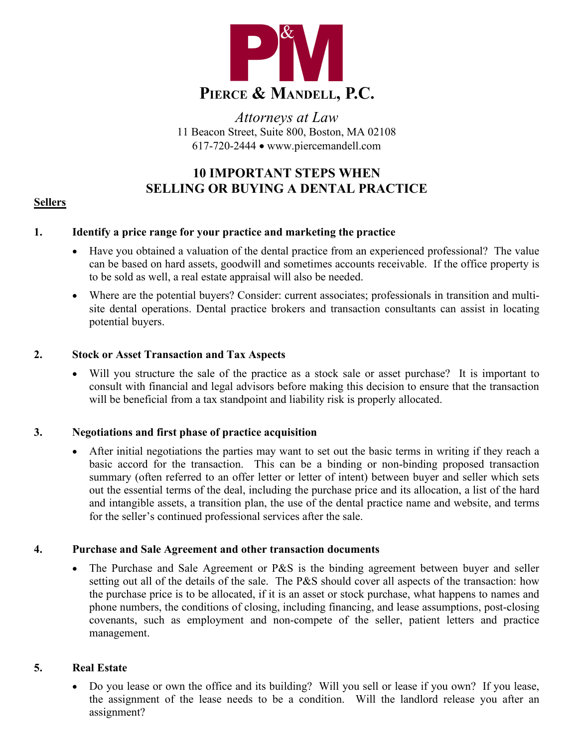

*Attorneys at Law* 11 Beacon Street, Suite 800, Boston, MA 02108 617-720-2444 • www.piercemandell.com

# **10 IMPORTANT STEPS WHEN SELLING OR BUYING A DENTAL PRACTICE**

# **Sellers**

## **1. Identify a price range for your practice and marketing the practice**

- Have you obtained a valuation of the dental practice from an experienced professional? The value can be based on hard assets, goodwill and sometimes accounts receivable. If the office property is to be sold as well, a real estate appraisal will also be needed.
- Where are the potential buyers? Consider: current associates; professionals in transition and multisite dental operations. Dental practice brokers and transaction consultants can assist in locating potential buyers.

## **2. Stock or Asset Transaction and Tax Aspects**

• Will you structure the sale of the practice as a stock sale or asset purchase? It is important to consult with financial and legal advisors before making this decision to ensure that the transaction will be beneficial from a tax standpoint and liability risk is properly allocated.

## **3. Negotiations and first phase of practice acquisition**

After initial negotiations the parties may want to set out the basic terms in writing if they reach a basic accord for the transaction. This can be a binding or non-binding proposed transaction summary (often referred to an offer letter or letter of intent) between buyer and seller which sets out the essential terms of the deal, including the purchase price and its allocation, a list of the hard and intangible assets, a transition plan, the use of the dental practice name and website, and terms for the seller's continued professional services after the sale.

## **4. Purchase and Sale Agreement and other transaction documents**

• The Purchase and Sale Agreement or P&S is the binding agreement between buyer and seller setting out all of the details of the sale. The P&S should cover all aspects of the transaction: how the purchase price is to be allocated, if it is an asset or stock purchase, what happens to names and phone numbers, the conditions of closing, including financing, and lease assumptions, post-closing covenants, such as employment and non-compete of the seller, patient letters and practice management.

## **5. Real Estate**

• Do you lease or own the office and its building? Will you sell or lease if you own? If you lease, the assignment of the lease needs to be a condition. Will the landlord release you after an assignment?